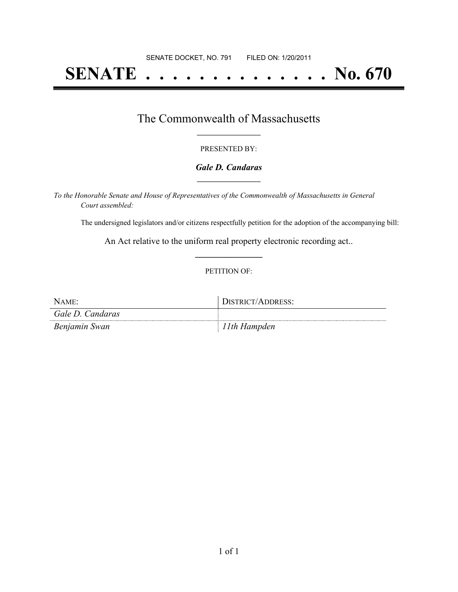# **SENATE . . . . . . . . . . . . . . No. 670**

## The Commonwealth of Massachusetts **\_\_\_\_\_\_\_\_\_\_\_\_\_\_\_\_\_**

#### PRESENTED BY:

#### *Gale D. Candaras* **\_\_\_\_\_\_\_\_\_\_\_\_\_\_\_\_\_**

*To the Honorable Senate and House of Representatives of the Commonwealth of Massachusetts in General Court assembled:*

The undersigned legislators and/or citizens respectfully petition for the adoption of the accompanying bill:

An Act relative to the uniform real property electronic recording act.. **\_\_\_\_\_\_\_\_\_\_\_\_\_\_\_**

#### PETITION OF:

| NAME:            | DISTRICT/ADDRESS: |
|------------------|-------------------|
| Gale D. Candaras |                   |
| Benjamin Swan    | 11th Hampden      |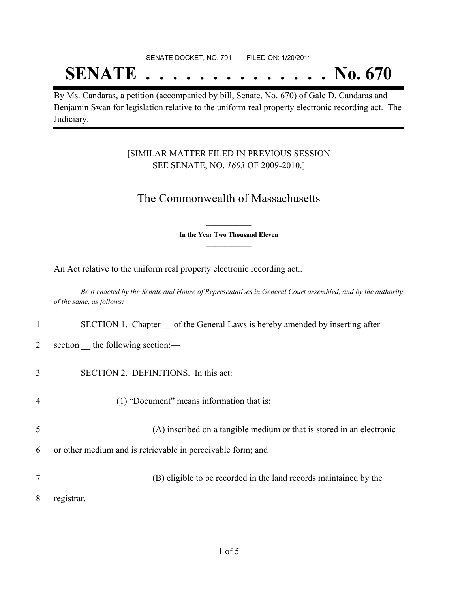#### SENATE DOCKET, NO. 791 FILED ON: 1/20/2011

## **SENATE . . . . . . . . . . . . . . No. 670**

By Ms. Candaras, a petition (accompanied by bill, Senate, No. 670) of Gale D. Candaras and Benjamin Swan for legislation relative to the uniform real property electronic recording act. The Judiciary.

### [SIMILAR MATTER FILED IN PREVIOUS SESSION SEE SENATE, NO. *1603* OF 2009-2010.]

## The Commonwealth of Massachusetts

**\_\_\_\_\_\_\_\_\_\_\_\_\_\_\_ In the Year Two Thousand Eleven \_\_\_\_\_\_\_\_\_\_\_\_\_\_\_**

An Act relative to the uniform real property electronic recording act..

Be it enacted by the Senate and House of Representatives in General Court assembled, and by the authority *of the same, as follows:*

|   | SECTION 1. Chapter of the General Laws is hereby amended by inserting after |
|---|-----------------------------------------------------------------------------|
| 2 | section the following section:-                                             |
| 3 | SECTION 2. DEFINITIONS. In this act:                                        |
| 4 | (1) "Document" means information that is:                                   |
| 5 | (A) inscribed on a tangible medium or that is stored in an electronic       |
| 6 | or other medium and is retrievable in perceivable form; and                 |
| 7 | (B) eligible to be recorded in the land records maintained by the           |
| 8 | registrar.                                                                  |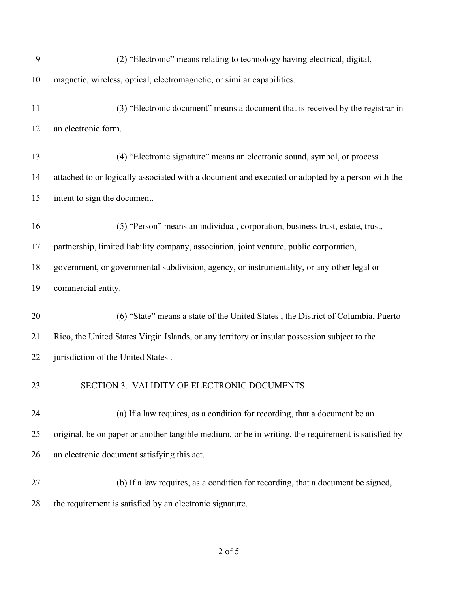| 9  | (2) "Electronic" means relating to technology having electrical, digital,                           |
|----|-----------------------------------------------------------------------------------------------------|
| 10 | magnetic, wireless, optical, electromagnetic, or similar capabilities.                              |
| 11 | (3) "Electronic document" means a document that is received by the registrar in                     |
| 12 | an electronic form.                                                                                 |
| 13 | (4) "Electronic signature" means an electronic sound, symbol, or process                            |
| 14 | attached to or logically associated with a document and executed or adopted by a person with the    |
| 15 | intent to sign the document.                                                                        |
| 16 | (5) "Person" means an individual, corporation, business trust, estate, trust,                       |
| 17 | partnership, limited liability company, association, joint venture, public corporation,             |
| 18 | government, or governmental subdivision, agency, or instrumentality, or any other legal or          |
| 19 | commercial entity.                                                                                  |
| 20 | (6) "State" means a state of the United States, the District of Columbia, Puerto                    |
| 21 | Rico, the United States Virgin Islands, or any territory or insular possession subject to the       |
| 22 | jurisdiction of the United States.                                                                  |
| 23 | SECTION 3. VALIDITY OF ELECTRONIC DOCUMENTS.                                                        |
| 24 | (a) If a law requires, as a condition for recording, that a document be an                          |
| 25 | original, be on paper or another tangible medium, or be in writing, the requirement is satisfied by |
| 26 | an electronic document satisfying this act.                                                         |
| 27 | (b) If a law requires, as a condition for recording, that a document be signed,                     |
| 28 | the requirement is satisfied by an electronic signature.                                            |

of 5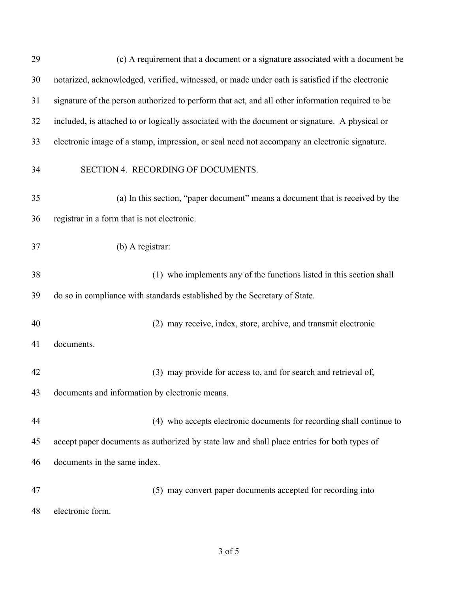| 29 | (c) A requirement that a document or a signature associated with a document be                   |
|----|--------------------------------------------------------------------------------------------------|
| 30 | notarized, acknowledged, verified, witnessed, or made under oath is satisfied if the electronic  |
| 31 | signature of the person authorized to perform that act, and all other information required to be |
| 32 | included, is attached to or logically associated with the document or signature. A physical or   |
| 33 | electronic image of a stamp, impression, or seal need not accompany an electronic signature.     |
| 34 | SECTION 4. RECORDING OF DOCUMENTS.                                                               |
| 35 | (a) In this section, "paper document" means a document that is received by the                   |
| 36 | registrar in a form that is not electronic.                                                      |
| 37 | (b) A registrar:                                                                                 |
| 38 | (1) who implements any of the functions listed in this section shall                             |
| 39 | do so in compliance with standards established by the Secretary of State.                        |
| 40 | (2) may receive, index, store, archive, and transmit electronic                                  |
| 41 | documents.                                                                                       |
| 42 | (3) may provide for access to, and for search and retrieval of,                                  |
| 43 | documents and information by electronic means.                                                   |
| 44 | (4) who accepts electronic documents for recording shall continue to                             |
| 45 | accept paper documents as authorized by state law and shall place entries for both types of      |
| 46 | documents in the same index.                                                                     |
| 47 | (5) may convert paper documents accepted for recording into                                      |
| 48 | electronic form.                                                                                 |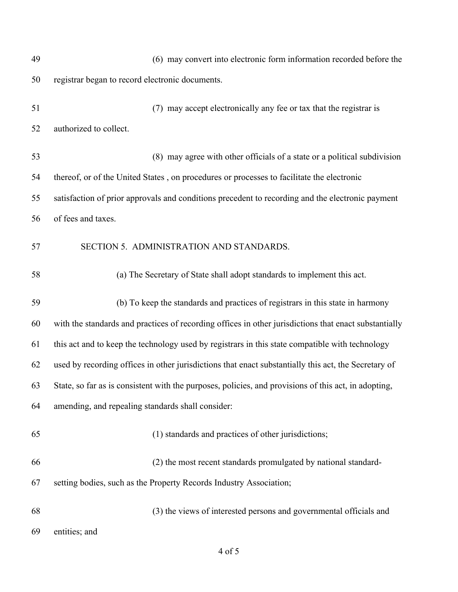| 49 | (6) may convert into electronic form information recorded before the                                  |
|----|-------------------------------------------------------------------------------------------------------|
| 50 | registrar began to record electronic documents.                                                       |
| 51 | (7) may accept electronically any fee or tax that the registrar is                                    |
| 52 | authorized to collect.                                                                                |
| 53 | (8) may agree with other officials of a state or a political subdivision                              |
| 54 | thereof, or of the United States, on procedures or processes to facilitate the electronic             |
| 55 | satisfaction of prior approvals and conditions precedent to recording and the electronic payment      |
| 56 | of fees and taxes.                                                                                    |
| 57 | SECTION 5. ADMINISTRATION AND STANDARDS.                                                              |
| 58 | (a) The Secretary of State shall adopt standards to implement this act.                               |
| 59 | (b) To keep the standards and practices of registrars in this state in harmony                        |
| 60 | with the standards and practices of recording offices in other jurisdictions that enact substantially |
| 61 | this act and to keep the technology used by registrars in this state compatible with technology       |
| 62 | used by recording offices in other jurisdictions that enact substantially this act, the Secretary of  |
| 63 | State, so far as is consistent with the purposes, policies, and provisions of this act, in adopting,  |
| 64 | amending, and repealing standards shall consider:                                                     |
| 65 | (1) standards and practices of other jurisdictions;                                                   |
| 66 | (2) the most recent standards promulgated by national standard-                                       |
| 67 | setting bodies, such as the Property Records Industry Association;                                    |
| 68 | (3) the views of interested persons and governmental officials and                                    |
| 69 | entities; and                                                                                         |

of 5